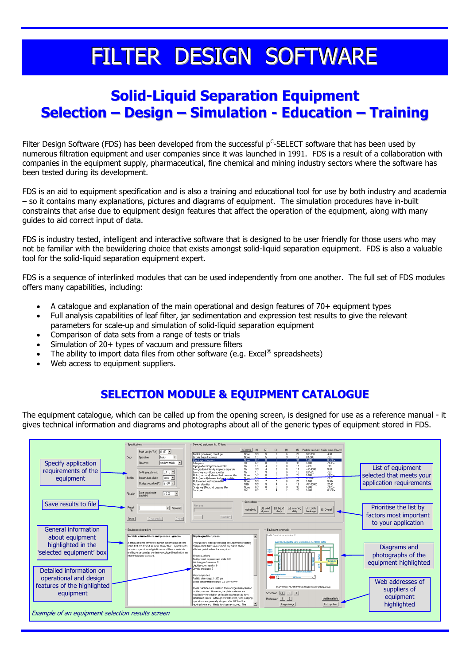# FILTER DESIGN SOFTWARE

## **Solid-Liquid Separation Equipment Selection – Design – Simulation - Education – Training**

Filter Design Software (FDS) has been developed from the successful p<sup>C</sup>-SELECT software that has been used by numerous filtration equipment and user companies since it was launched in 1991. FDS is a result of a collaboration with companies in the equipment supply, pharmaceutical, fine chemical and mining industry sectors where the software has been tested during its development.

FDS is an aid to equipment specification and is also a training and educational tool for use by both industry and academia – so it contains many explanations, pictures and diagrams of equipment. The simulation procedures have in-built constraints that arise due to equipment design features that affect the operation of the equipment, along with many guides to aid correct input of data.

FDS is industry tested, intelligent and interactive software that is designed to be user friendly for those users who may not be familiar with the bewildering choice that exists amongst solid-liquid separation equipment. FDS is also a valuable tool for the solid-liquid separation equipment expert.

FDS is a sequence of interlinked modules that can be used independently from one another. The full set of FDS modules offers many capabilities, including:

- A catalogue and explanation of the main operational and design features of 70+ equipment types
- Full analysis capabilities of leaf filter, jar sedimentation and expression test results to give the relevant parameters for scale-up and simulation of solid-liquid separation equipment
- Comparison of data sets from a range of tests or trials
- Simulation of 20+ types of vacuum and pressure filters
- The ability to import data files from other software (e.g. Excel® spreadsheets)
- Web access to equipment suppliers.

## **SELECTION MODULE & EQUIPMENT CATALOGUE**

The equipment catalogue, which can be called up from the opening screen, is designed for use as a reference manual - it gives technical information and diagrams and photographs about all of the generic types of equipment stored in FDS.

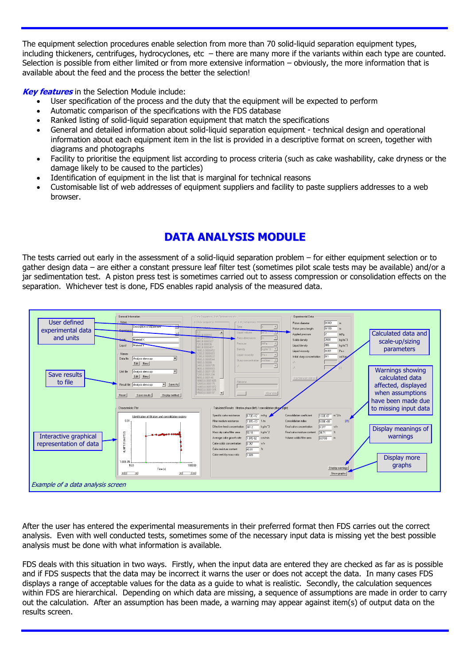The equipment selection procedures enable selection from more than 70 solid-liquid separation equipment types, including thickeners, centrifuges, hydrocyclones, etc – there are many more if the variants within each type are counted. Selection is possible from either limited or from more extensive information – obviously, the more information that is available about the feed and the process the better the selection!

**Key features** in the Selection Module include:

- User specification of the process and the duty that the equipment will be expected to perform
- Automatic comparison of the specifications with the FDS database
- Ranked listing of solid-liquid separation equipment that match the specifications
- General and detailed information about solid-liquid separation equipment technical design and operational information about each equipment item in the list is provided in a descriptive format on screen, together with diagrams and photographs
- Facility to prioritise the equipment list according to process criteria (such as cake washability, cake dryness or the damage likely to be caused to the particles)
- Identification of equipment in the list that is marginal for technical reasons
- Customisable list of web addresses of equipment suppliers and facility to paste suppliers addresses to a web browser.

## **DATA ANALYSIS MODULE**

The tests carried out early in the assessment of a solid-liquid separation problem – for either equipment selection or to gather design data – are either a constant pressure leaf filter test (sometimes pilot scale tests may be available) and/or a jar sedimentation test. A piston press test is sometimes carried out to assess compression or consolidation effects on the separation. Whichever test is done, FDS enables rapid analysis of the measured data.



After the user has entered the experimental measurements in their preferred format then FDS carries out the correct analysis. Even with well conducted tests, sometimes some of the necessary input data is missing yet the best possible analysis must be done with what information is available.

FDS deals with this situation in two ways. Firstly, when the input data are entered they are checked as far as is possible and if FDS suspects that the data may be incorrect it warns the user or does not accept the data. In many cases FDS displays a range of acceptable values for the data as a guide to what is realistic. Secondly, the calculation sequences within FDS are hierarchical. Depending on which data are missing, a sequence of assumptions are made in order to carry out the calculation. After an assumption has been made, a warning may appear against item(s) of output data on the results screen.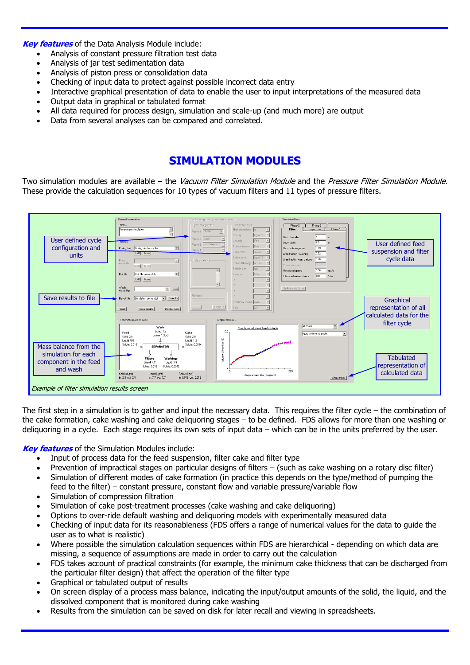**Key features** of the Data Analysis Module include:

- Analysis of constant pressure filtration test data
- Analysis of jar test sedimentation data
- Analysis of piston press or consolidation data
- Checking of input data to protect against possible incorrect data entry
- Interactive graphical presentation of data to enable the user to input interpretations of the measured data
- Output data in graphical or tabulated format
- All data required for process design, simulation and scale-up (and much more) are output
- Data from several analyses can be compared and correlated.

#### **SIMULATION MODULES**

Two simulation modules are available – the Vacuum Filter Simulation Module and the Pressure Filter Simulation Module. These provide the calculation sequences for 10 types of vacuum filters and 11 types of pressure filters.



The first step in a simulation is to gather and input the necessary data. This requires the filter cycle – the combination of the cake formation, cake washing and cake deliquoring stages – to be defined. FDS allows for more than one washing or deliquoring in a cycle. Each stage requires its own sets of input data – which can be in the units preferred by the user.

**Key features** of the Simulation Modules include:

- Input of process data for the feed suspension, filter cake and filter type
- Prevention of impractical stages on particular designs of filters (such as cake washing on a rotary disc filter)
- Simulation of different modes of cake formation (in practice this depends on the type/method of pumping the feed to the filter) – constant pressure, constant flow and variable pressure/variable flow
- Simulation of compression filtration
- Simulation of cake post-treatment processes (cake washing and cake deliquoring)
- Options to over-ride default washing and deliquoring models with experimentally measured data
- Checking of input data for its reasonableness (FDS offers a range of numerical values for the data to guide the user as to what is realistic)
- Where possible the simulation calculation sequences within FDS are hierarchical depending on which data are missing, a sequence of assumptions are made in order to carry out the calculation
- FDS takes account of practical constraints (for example, the minimum cake thickness that can be discharged from the particular filter design) that affect the operation of the filter type
- Graphical or tabulated output of results
- On screen display of a process mass balance, indicating the input/output amounts of the solid, the liquid, and the dissolved component that is monitored during cake washing
- Results from the simulation can be saved on disk for later recall and viewing in spreadsheets.